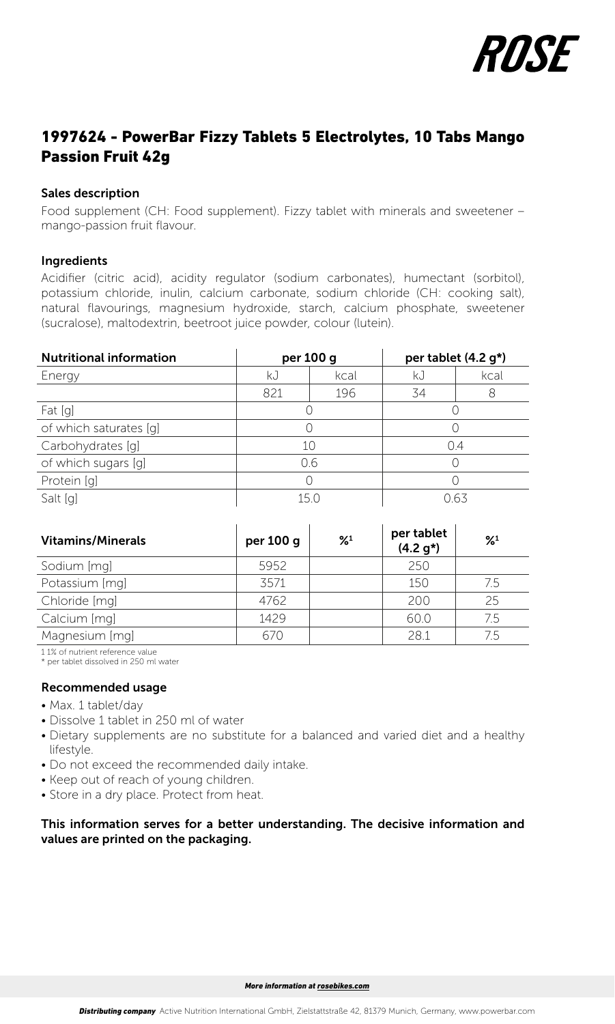

# 1997624 - PowerBar Fizzy Tablets 5 Electrolytes, 10 Tabs Mango Passion Fruit 42g

#### Sales description

Food supplement (CH: Food supplement). Fizzy tablet with minerals and sweetener – mango-passion fruit flavour.

#### Ingredients

Acidifier (citric acid), acidity regulator (sodium carbonates), humectant (sorbitol), potassium chloride, inulin, calcium carbonate, sodium chloride (CH: cooking salt), natural flavourings, magnesium hydroxide, starch, calcium phosphate, sweetener (sucralose), maltodextrin, beetroot juice powder, colour (lutein).

| <b>Nutritional information</b> | per 100 g |      | per tablet (4.2 g*) |      |  |
|--------------------------------|-----------|------|---------------------|------|--|
| Energy                         | kJ        | kcal | kJ                  | kcal |  |
|                                | 821       | 196  | 34                  |      |  |
| Fat [g]                        |           |      |                     |      |  |
| of which saturates [g]         |           |      |                     |      |  |
| Carbohydrates [q]              | 10        |      | 0.4                 |      |  |
| of which sugars [g]            | 0.6       |      | ()                  |      |  |
| Protein [g]                    |           |      |                     |      |  |
| Salt [g]                       | 150       |      | O 63                |      |  |

| <b>Vitamins/Minerals</b> | per 100 g | $\frac{9}{4}$ | per tablet<br>$(4.2 g*)$ | $\frac{9}{4}$ |
|--------------------------|-----------|---------------|--------------------------|---------------|
| Sodium [mg]              | 5952      |               | 250                      |               |
| Potassium [mg]           | 3571      |               | 150                      | 7.5           |
| Chloride [mq]            | 4762      |               | 200                      | 25            |
| Calcium [mq]             | 1429      |               | 60.0                     | 7.5           |
| Magnesium [mg]           | 670       |               | 28.1                     | 7.5           |

1 1% of nutrient reference value

\* per tablet dissolved in 250 ml water

#### Recommended usage

- Max. 1 tablet/day
- Dissolve 1 tablet in 250 ml of water
- Dietary supplements are no substitute for a balanced and varied diet and a healthy lifestyle.
- Do not exceed the recommended daily intake.
- Keep out of reach of young children.
- Store in a dry place. Protect from heat.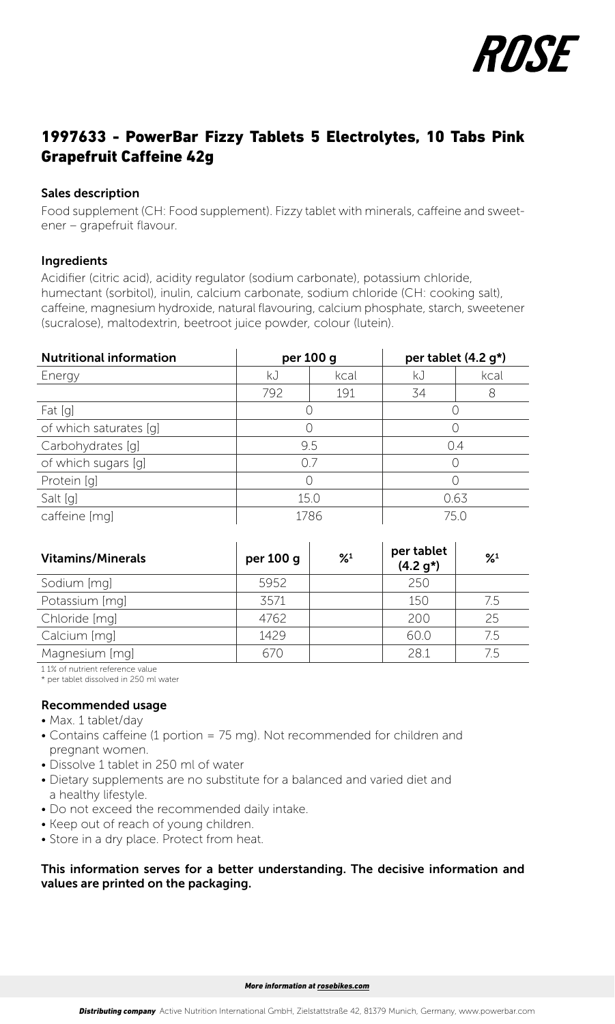

# 1997633 - PowerBar Fizzy Tablets 5 Electrolytes, 10 Tabs Pink Grapefruit Caffeine 42g

#### Sales description

Food supplement (CH: Food supplement). Fizzy tablet with minerals, caffeine and sweetener – grapefruit flavour.

#### Ingredients

Acidifier (citric acid), acidity regulator (sodium carbonate), potassium chloride, humectant (sorbitol), inulin, calcium carbonate, sodium chloride (CH: cooking salt), caffeine, magnesium hydroxide, natural flavouring, calcium phosphate, starch, sweetener (sucralose), maltodextrin, beetroot juice powder, colour (lutein).

| <b>Nutritional information</b> | per 100 g |      | per tablet (4.2 g*) |      |
|--------------------------------|-----------|------|---------------------|------|
| Energy                         | kJ        | kcal | kJ                  | kcal |
|                                | 792       | 191  | 34                  | 8    |
| Fat [g]                        |           |      |                     |      |
| of which saturates [q]         |           |      |                     |      |
| Carbohydrates [q]              | 9.5       |      | 0.4                 |      |
| of which sugars [g]            | 07        |      |                     |      |
| Protein [q]                    |           |      |                     |      |
| Salt [g]                       | 15.0      |      | 0.63                |      |
| caffeine [mg]                  | 1786      |      | 75.0                |      |

| <b>Vitamins/Minerals</b> | per 100 g | $\frac{9}{4}$ | per tablet<br>$(4.2 g*)$ | $\frac{9}{4}$ |
|--------------------------|-----------|---------------|--------------------------|---------------|
| Sodium [mq]              | 5952      |               | 250                      |               |
| Potassium [mg]           | 3571      |               | 150                      | 75            |
| Chloride [mg]            | 4762      |               | 200                      | 25            |
| Calcium [mq]             | 1429      |               | 60.0                     | 7.5           |
| Magnesium [mg]           | 670       |               | 28.1                     | 75            |

1 1% of nutrient reference value \* per tablet dissolved in 250 ml water

### Recommended usage

- Max. 1 tablet/day
- Contains caffeine (1 portion = 75 mg). Not recommended for children and pregnant women.
- Dissolve 1 tablet in 250 ml of water
- Dietary supplements are no substitute for a balanced and varied diet and a healthy lifestyle.
- Do not exceed the recommended daily intake.
- Keep out of reach of young children.
- Store in a dry place. Protect from heat.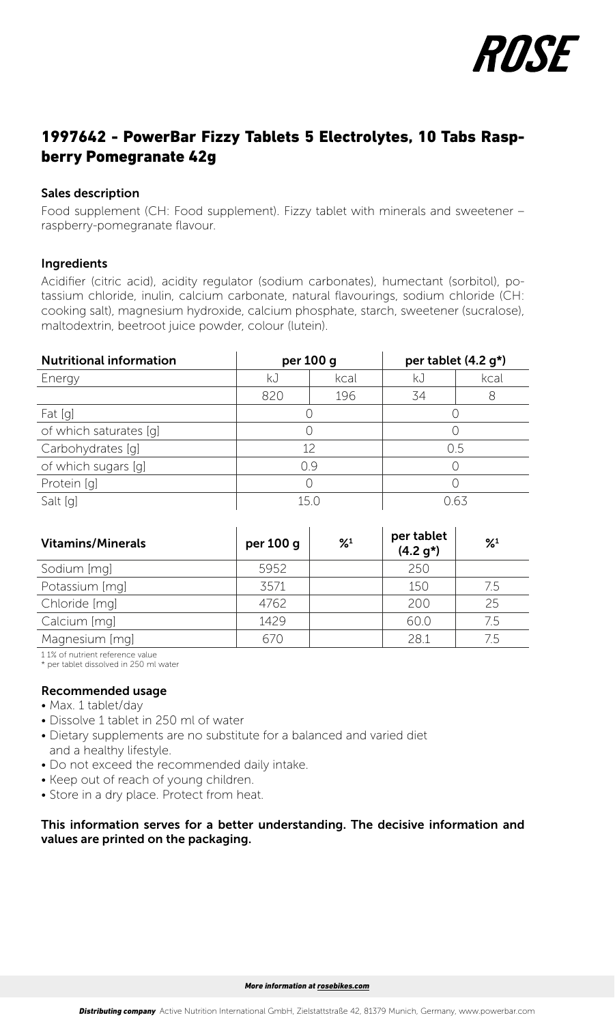

# 1997642 - PowerBar Fizzy Tablets 5 Electrolytes, 10 Tabs Raspberry Pomegranate 42g

#### Sales description

Food supplement (CH: Food supplement). Fizzy tablet with minerals and sweetener – raspberry-pomegranate flavour.

#### Ingredients

Acidifier (citric acid), acidity regulator (sodium carbonates), humectant (sorbitol), potassium chloride, inulin, calcium carbonate, natural flavourings, sodium chloride (CH: cooking salt), magnesium hydroxide, calcium phosphate, starch, sweetener (sucralose), maltodextrin, beetroot juice powder, colour (lutein).

| <b>Nutritional information</b> | per 100 g       |      | per tablet (4.2 g*) |      |
|--------------------------------|-----------------|------|---------------------|------|
| Energy                         | kJ              | kcal | kJ                  | kcal |
|                                | 820             | 196  | 34                  |      |
| Fat [g]                        |                 |      |                     |      |
| of which saturates [q]         |                 |      |                     |      |
| Carbohydrates [q]              | 12              |      | 0.5                 |      |
| of which sugars [q]            | 09              |      |                     |      |
| Protein [q]                    |                 |      |                     |      |
| Salt [q]                       | 15 <sub>0</sub> |      | N 63                |      |

| <b>Vitamins/Minerals</b> | per 100 g | $\frac{9}{4}$ | per tablet<br>$(4.2 g*)$ | $\frac{9}{4}$ |
|--------------------------|-----------|---------------|--------------------------|---------------|
| Sodium [mg]              | 5952      |               | 250                      |               |
| Potassium [mg]           | 3571      |               | 150                      | 7.5           |
| Chloride [mq]            | 4762      |               | 200                      | 25            |
| Calcium [mg]             | 1429      |               | 60.0                     | 7.5           |
| Magnesium [mg]           | 670       |               | 28.1                     | 75            |

1 1% of nutrient reference value

\* per tablet dissolved in 250 ml water

- Recommended usage
- Max. 1 tablet/day
- Dissolve 1 tablet in 250 ml of water
- Dietary supplements are no substitute for a balanced and varied diet and a healthy lifestyle.
- Do not exceed the recommended daily intake.
- Keep out of reach of young children.
- Store in a dry place. Protect from heat.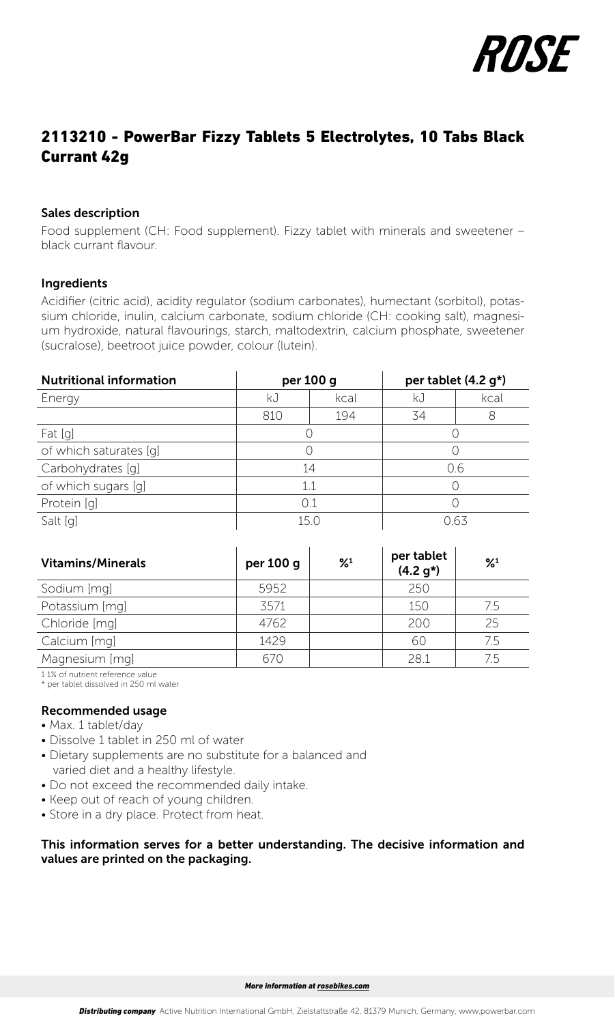

# 2113210 - PowerBar Fizzy Tablets 5 Electrolytes, 10 Tabs Black Currant 42g

#### Sales description

Food supplement (CH: Food supplement). Fizzy tablet with minerals and sweetener – black currant flavour.

### Ingredients

Acidifier (citric acid), acidity regulator (sodium carbonates), humectant (sorbitol), potassium chloride, inulin, calcium carbonate, sodium chloride (CH: cooking salt), magnesium hydroxide, natural flavourings, starch, maltodextrin, calcium phosphate, sweetener (sucralose), beetroot juice powder, colour (lutein).

| <b>Nutritional information</b> | per 100 g |      | per tablet (4.2 g*) |      |
|--------------------------------|-----------|------|---------------------|------|
| Energy                         | kJ        | kcal | kJ                  | kcal |
|                                | 810       | 194  | 34                  |      |
| Fat [g]                        |           |      |                     |      |
| of which saturates [g]         |           |      |                     |      |
| Carbohydrates [q]              | 14        |      | 0.6                 |      |
| of which sugars [q]            | 11        |      |                     |      |
| Protein [q]                    | 0.1       |      |                     |      |
| Salt [q]                       | 150       |      | 763                 |      |

| <b>Vitamins/Minerals</b> | per 100 g | $\frac{9}{4}$ | per tablet<br>$(4.2 g*)$ | $\frac{9}{4}$ |
|--------------------------|-----------|---------------|--------------------------|---------------|
| Sodium [mg]              | 5952      |               | 250                      |               |
| Potassium [mg]           | 3571      |               | 150                      | 7.5           |
| Chloride [mg]            | 4762      |               | 200                      | 25            |
| Calcium [mg]             | 1429      |               | 60                       | 7.5           |
| Magnesium [mg]           | 670       |               | 28.1                     | 75            |

1 1% of nutrient reference value

\* per tablet dissolved in 250 ml water

#### Recommended usage

- Max. 1 tablet/day
- Dissolve 1 tablet in 250 ml of water
- Dietary supplements are no substitute for a balanced and varied diet and a healthy lifestyle.
- Do not exceed the recommended daily intake.
- Keep out of reach of young children.
- Store in a dry place. Protect from heat.